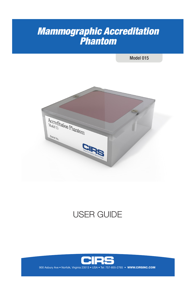# *Mammographic Accreditation Phantom*

Model 015



# USER GUIDE

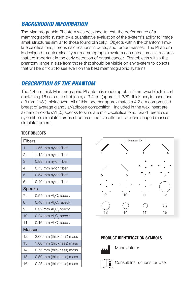# *BACKGROUND INFORMATION*

The Mammographic Phantom was designed to test, the performance of a mammographic system by a quantitative evaluation of the system's ability to image small structures similar to those found clinically. Objects within the phantom simulate calcifications, fibrous calcifications in ducts, and tumor masses. The Phantom is designed to determine if your mammographic system can detect small structures that are important in the early detection of breast cancer. Test objects within the phantom range in size from those that should be visible on any system to objects that will be difficult to see even on the best mammographic systems.

# *DESCRIPTION OF THE PHANTOM*

The 4.4 cm thick Mammographic Phantom is made up of: a 7 mm wax block insert containing 16 sets of test objects, a 3.4 cm (approx. 1-3/8") thick acrylic base, and a 3 mm (1/8") thick cover. All of this together approximates a 4.2 cm compressed breast of average glandular/adipose composition. Included in the wax insert are aluminum oxide (A1<sub>2</sub>0<sub>3</sub>) specks to simulate micro-calcifications. Six different size nylon fibers simulate fibrous structures and five different size lens shaped masses simulate tumors.

#### **TEST OBJECTS**

| <b>Fibers</b> |                                           |  |
|---------------|-------------------------------------------|--|
| 1.            | 1.56 mm nylon fiber                       |  |
| 2.            | 1.12 mm nylon fiber                       |  |
| 3.            | 0.89 mm nylon fiber                       |  |
| 4.            | 0.75 mm nylon fiber                       |  |
| 5.            | 0.54 mm nylon fiber                       |  |
| 6.            | 0.40 mm nylon fiber                       |  |
| <b>Specks</b> |                                           |  |
| 7.            | 0.54 mm $\text{Al}_2\text{O}_3$ speck     |  |
| 8.            | 0.40 mm $\mathsf{Al}_2\mathsf{O}_3$ speck |  |
| 9.            | 0.32 mm $\mathsf{Al}_2\mathsf{O}_3$ speck |  |
| 10.           | 0.24 mm $\text{Al}_2\text{O}_3$ speck     |  |
| 11            | 0.16 mm $\text{Al}_2\text{O}_3$ speck     |  |
| <b>Masses</b> |                                           |  |
| 12.           | 2.00 mm (thickness) mass                  |  |
| 13.           | 1.00 mm (thickness) mass                  |  |
| 14.           | 0.75 mm (thickness) mass                  |  |
| 15.           | 0.50 mm (thickness) mass                  |  |
| 16.           | 0.25 mm (thickness) mass                  |  |



#### **PRODUCT IDENTIFICATION SYMBOLS**



**Manufacturer** 



Consult Instructions for Use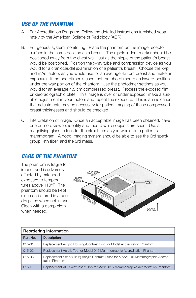### *USE OF THE PHANTOM*

- A. For Accreditation Program: Follow the detailed instructions furnished separately by the American College of Radiology (ACR).
- B. For general system monitoring: Place the phantom on the image receptor surface in the same position as a breast. The nipple indent marker should be positioned away from the chest wall, just as the nipple of the patient's breast would be positioned. Position the x-ray tube and compression device as you would for a craniocaudal examination of a patient's breast. Choose the kVp and mAs factors as you would use for an average 4.5 cm breast and make an exposure. If the phototimer is used, set the phototimer to an inward position under the wax portion of the phantom. Use the phototimer settings as you would for an average 4.5 cm compressed breast. Process the exposed film or xeroradiographic plate. This image is over or under exposed, make a suitable adjustment in your factors and repeat the exposure. This is an indication that adjustments may be necessary for patient imaging of these compressed breast thicknesses and should be checked.
- C. Interpretation of image. Once an acceptable image has been obtained, have one or more viewers identify and record which objects are seen. Use a magnifying glass to look for the structures as you would on a patient's mammogram. A good imaging system should be able to see the 3rd speck group, 4th fiber, and the 3rd mass.

### *CARE OF THE PHANTOM*

The phantom is fragile to impact and is adversely affected by extended exposure to temperatures above 110°F. The phantom should be kept clean and stored in a cool dry place when not in use. Clean with a damp cloth when needed.



| Reordering Information |                                                                                                         |  |
|------------------------|---------------------------------------------------------------------------------------------------------|--|
| Part No.               | <b>Description</b>                                                                                      |  |
| 015-01                 | Replacement Acrylic Housing/Contrast Disc for Model Accreditation Phantom                               |  |
| 015-02                 | Replacement Acrylic Top for Model 015 Mammographic Accreditation Phantom                                |  |
| $015-03$               | Replacement Set of Six (6) Acrylic Contrast Discs for Model 015 Mammographic Accredi-<br>tation Phantom |  |
| $015 -$                | Replacement ACR Wax Insert Only for Model 015 Mammographic Accreditation Phantom                        |  |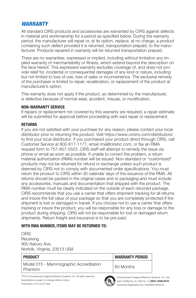### *WARRANTY*

All standard CIRS products and accessories are warranted by CIRS against defects in material and workmanship for a period as specified below. During the warranty period, the manufacturer will repair or, at its option, replace, at no charge, a product containing such defect provided it is returned, transportation prepaid, to the manufacturer. Products repaired in warranty will be returned transportation prepaid.

There are no warranties, expressed or implied, including without limitation any implied warranty of merchantability or fitness, which extend beyond the description on the face hereof. This expressed warranty excludes coverage of, and does not provide relief for, incidental or consequential damages of any kind or nature, including but not limited to loss of use, loss of sales or inconvenience. The exclusive remedy of the purchaser is limited to repair, recalibration, or replacement of the product at manufacturer's option.

This warranty does not apply if the product, as determined by the manufacturer, is defective because of normal wear, accident, misuse, or modification.

#### **NON-WARRANTY SERVICE**

If repairs or replacement not covered by this warranty are required, a repair estimate will be submitted for approval before proceeding with said repair or replacement.

#### **RETURNS**

If you are not satisfied with your purchase for any reason, please contact your local distributor prior to returning the product. Visit https://www.cirsinc.com/distributors/ to find your local distributor. If you purchased your product direct through CIRS, call Customer Service at 800-617-1177, email rma@cirsinc.com, or fax an RMA request form to 757-857-0523. CIRS staff will attempt to remedy the issue via phone or email as soon as possible. If unable to correct the problem, a return material authorization (RMA) number will be issued. Non-standard or "customized" products may not be returned for refund or exchange unless such product is deemed by CIRS not to comply with documented order specifications. You must return the product to CIRS within 30 calendar days of the issuance of the RMA. All returns should be packed in the original cases and or packaging and must include any accessories, manuals and documentation that shipped with the product. The RMA number must be clearly indicated on the outside of each returned package. CIRS recommends that you use a carrier that offers shipment tracking for all returns and insure the full value of your package so that you are completely protected if the shipment is lost or damaged in transit. If you choose not to use a carrier that offers tracking or insure the product, you will be responsible for any loss or damage to the product during shipping. CIRS will not be responsible for lost or damaged return shipments. Return freight and insurance is to be pre-paid.

#### **WITH RMA NUMBER, ITEMS MAY BE RETURNED TO:**

**CIRS Receiving** 900 Asbury Ave, Norfolk, Virginia, 23513 USA

| PRODUCT                                             | <b>WARRANTY PERIOD</b> |
|-----------------------------------------------------|------------------------|
| Model 015 - Mammographic Accreditation<br>l Phantom | 60 Months              |

©2013 Computerized Imaging Reference Systems, Inc. All rights reserved. Specifications subject to change without notice. Publication: 015 UG 071620

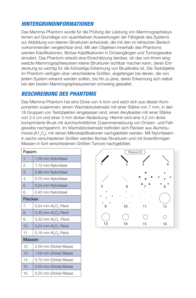### *HINTERGRUNDINFORMATIONEN*

Das Mamma-Phantom wurde für die Prüfung der Leistung von Mammographiesystemen auf Grundlage von quantitativen Auswertungen der Fähigkeit des Systems zur Abbildung von kleinen Strukturen entwickelt, die mit den im klinischen Bereich vorkommenden vergleichbar sind. Mit den Objekten innerhalb des Phantoms werden Kalzifikationen, fibröse Kalzifikationen in Drüsengängen und Tumorgewebe simuliert. Das Phantom erlaubt eine Einschätzung darüber, ob das von Ihnen eingesetzte Mammographiesystem kleine Strukturen sichtbar machen kann, deren Entdeckung so wichtig für die frühzeitige Erkennung von Brustkrebs ist. Die Testobjekte im Phantom verfügen über verschiedene Größen, angefangen bei denen, die von jedem System erkannt werden sollten, bis hin zu jene, deren Erkennung sich selbst bei den besten Mammographiesystemen schwierig gestaltet.

### *BESCHREIBUNG DES PHANTOMS*

Das Mamma-Phantom hat eine Dicke von 4,4cm und setzt sich aus diesen Komponenten zusammen: einem Wachsblockeinsatz mit einer Stärke von 7 mm, in den 16 Gruppen von Testobjekten eingelassen sind, einen Akrylkasten mit einer Stärke von 3,4 cm und einer 3 mm dicken Abdeckung. Hiermit wird eine 4,2 cm dicke komprimierte Brust mit durchschnittlicher Zusammensetzung von Drüsen- und Fettgewebe nachgeahmt. Im Wachsblockeinsatz befinden sich Flecken aus Aluminiumoxid (A1<sub>2</sub>0<sub>3</sub>), mit denen Mikrokalzifikationen nachgebildet werden. Mit Nylonfasern in sechs verschiedenen Größen werden fibröse Strukturen und mit linsenförmigen Massen in fünf verschiedenen Größen Tumore nachgebildet.

| Fasern         |                                              |  |
|----------------|----------------------------------------------|--|
| 1.             | 1,56 mm Nylonfaser                           |  |
| 2.             | 1,12 mm Nylonfaser                           |  |
| 3.             | 0,89 mm Nylonfaser                           |  |
| 4.             | 0,75 mm Nylonfaser                           |  |
| 5.             | 0,54 mm Nylonfaser                           |  |
| 6.             | 0,40 mm Nylonfaser                           |  |
| <b>Flecken</b> |                                              |  |
| 7.             | 0,54 mm Al <sub>2</sub> O <sub>3</sub> Fleck |  |
| 8.             | $0,40$ mm $Al_2O_3$ -Fleck                   |  |
| 9.             | 0,32 mm $\text{Al}_2\text{O}_3$ -Fleck       |  |
| 10.            | $0,24$ mm $Al_2O_3$ -Fleck                   |  |
| 11             | 0,16 mm $Al_2O_3$ -Fleck                     |  |
|                | <b>Massen</b>                                |  |
| 12.            | 2,00 mm (Dicke) Masse                        |  |
| 13.            | 1,00 mm (Dicke) Masse                        |  |
| 14.            | 0,75 mm (Dicke) Masse                        |  |
| 15.            | 0,50 mm (Dicke) Masse                        |  |
| 16.            | 0,25 mm (Dicke) Masse                        |  |

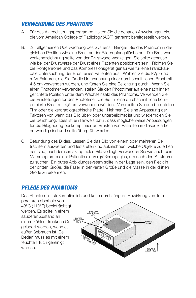### *VERWENDUNG DES PHANTOMS*

- A. Für das Akkreditierungsprogramm: Halten Sie die genauen Anweisungen ein, die vom American College of Radiology (ACR) getrennt bereitgestellt werden.
- B. Zur allgemeinen Überwachung des Systems: Bringen Sie das Phantom in der gleichen Position wie eine Brust an der Bildempfangsfläche an. Die Brustwarzenkennzeichnung sollte von der Brustwand wegzeigen. Sie sollte genauso wie bei der Brustwarze der Brust eines Patienten positioniert sein. Richten Sie die Röntgenröhre und das Kompressionsgerät genau wie für eine kraniokaudale Untersuchung der Brust eines Patienten aus. Wählen Sie die kVp- und mAs-Faktoren, die Sie für die Untersuchung einer durchschnittlichen Brust mit 4,5 cm verwenden würden, und führen Sie eine Belichtung durch. Wenn Sie einen Phototimer verwenden, stellen Sie den Phototimer auf eine nach innen gerichtete Position unter dem Wachseinsatz des Phantoms. Verwenden Sie die Einstellungen für den Phototimer, die Sie für eine durchschnittliche komprimierte Brust mit 4,5 cm verwenden würden. Verarbeiten Sie den belichteten Film oder die xeroradiographische Platte. Nehmen Sie eine Anpassung der Faktoren vor, wenn das Bild über- oder unterbelichtet ist und wiederholen Sie die Belichtung. Dies ist ein Hinweis dafür, dass möglicherweise Anpassungen für die Bildgebung bei komprimierten Brüsten von Patienten in dieser Stärke notwendig sind und sollte überprüft werden.
- C. Befundung des Bildes. Lassen Sie das Bild von einem oder mehreren Be trachtern auswerten und feststellen und aufzeichnen, welche Objekte zu erken nen sind, nachdem ein akzeptables Bild vorliegt. Verwenden Sie wie auch beim Mammogramm einer Patientin ein Vergrößerungsglas, um nach den Strukturen zu suchen. Ein gutes Abbildungssystem sollte in der Lage sein, den Fleck in der dritten Größe, die Faser in der verten Größe und die Masse in der dritten Größe zu erkennen.

# *PFLEGE DES PHANTOMS*

Das Phantom ist stoßempfindlich und kann durch längere Einwirkung von Tem-

peraturen oberhalb von 43°C (110°F) beeinträchtigt werden. Es sollte in einem sauberen Zustand an einem kühlen, trocknen Ort gelagert werden, wenn es außer Gebrauch ist. Bei Bedarf muss es mit einem feuchten Tuch gereinigt werden.

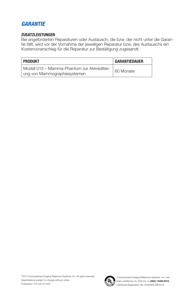# *GARANTIE*

#### **ZUSATZLEISTUNGEN**

Bei angeforderten Reparaturen oder Austausch, die bzw. der nicht unter die Garantie fällt, wird vor der Vornahme der jeweiligen Reparatur bzw. des Austauschs ein Kostenvoranschlag für die Reparatur zur Bestätigung zugesandt.

| <b>PRODUKT</b>                                                              | <b>GARANTIEDAUER</b> |
|-----------------------------------------------------------------------------|----------------------|
| Modell 015 - Mamma-Phantom zur Akkreditier-<br>ung von Mammographiesystemen | 60 Monate            |

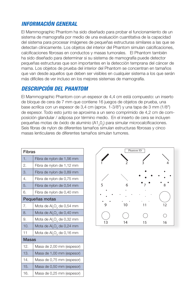# *INFORMACIÓN GENERAL*

El Mammographic Phantom ha sido diseñado para probar el funcionamiento de un sistema de mamografía por medio de una evaluación cuantitativa de la capacidad del sistema para procesar imágenes de pequeñas estructuras similares a las que se detectan clínicamente. Los objetos del interior del Phantom simulan calcificaciones, calcificaciones fibrosas en conductos y masas tumorales. El Phantom también ha sido diseñado para determinar si su sistema de mamografía puede detector pequeñas estructuras que son importantes en la detección temprana del cáncer de mama. Los objetos de prueba del interior del Phantom se concentran en tamaños que van desde aquellos que deben ser visibles en cualquier sistema a los que serán más difíciles de ver incluso en los mejores sistemas de mamografía.

# *DESCRIPCIÓN DEL PHANTOM*

El Mammographic Phantom con un espesor de 4,4 cm está compuesto: un inserto de bloque de cera de 7 mm que contiene 16 juegos de objetos de prueba, una base acrílica con un espesor de 3,4 cm (aprox. 1-3/8") y una tapa de 3 mm (1/8") de espesor. Todo esto junto se aproxima a un seno comprimido de 4,2 cm de composición glandular / adiposa por término medio. En el inserto de cera se incluyen pequeñas motas de óxido de aluminio (A1<sub>2</sub>0<sub>3</sub>) para simular microcalcificaciones. Seis fibras de nylon de diferentes tamaños simulan estructuras fibrosas y cinco masas lenticulares de diferentes tamaños simulan tumores.

| Fibras         |                                                   |  |
|----------------|---------------------------------------------------|--|
| 1.             | Fibra de nylon de 1,56 mm                         |  |
| 2.             | Fibra de nylon de 1,12 mm                         |  |
| 3.             | Fibra de nylon de 0,89 mm                         |  |
| 4.             | Fibra de nylon de 0,75 mm                         |  |
| 5.             | Fibra de nylon de 0,54 mm                         |  |
| 6.             | Fibra de nylon de 0,40 mm                         |  |
| Pequeñas motas |                                                   |  |
| 7.             | Mota de Al <sub>2</sub> O <sub>3</sub> de 0,54 mm |  |
| 8.             | Mota de Al <sub>2</sub> O <sub>3</sub> de 0,40 mm |  |
| 9.             | Mota de Al <sub>2</sub> O <sub>3</sub> de 0,32 mm |  |
| 10.            | Mota de $Al_2O_3$ de 0,24 mm                      |  |
| 11             | Mota de Al <sub>2</sub> O <sub>3</sub> de 0,16 mm |  |
|                | Masas                                             |  |
| 12.            | Masa de 2,00 mm (espesor)                         |  |
| 13.            | Masa de 1,00 mm (espesor)                         |  |
| 14.            | Masa de 0,75 mm (espesor)                         |  |
| 15.            | Masa de 0,50 mm (espesor)                         |  |
| 16.            | Masa de 0,25 mm (espesor)                         |  |

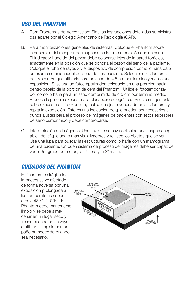### *USO DEL PHANTOM*

- A. Para Programas de Acreditación: Siga las instrucciones detalladas suministradas aparte por el Colegio Americano de Radiología (CAR).
- B. Para monitorizaciones generales de sistemas: Coloque el Phantom sobre la superficie del receptor de imágenes en la misma posición que un seno. El indicador hundido del pezón debe colocarse lejos de la pared torácica, exactamente en la posición que se pondría el pezón del seno de la paciente. Coloque el tubo de rayos x y el dispositivo de compresión como lo haría para un examen craniocaudal del seno de una paciente. Seleccione los factores de kVp y mAs que utilizaría para un seno de 4,5 cm por término y realice una exposición. Si se usa un fotoemporizador, colóquelo en una posición hacia dentro debajo de la porción de cera del Phantom. Utilice el fototemporizador como lo haría para un seno comprimido de 4,5 cm por término medio. Procese la película expuesta o la placa xeroradiográfica. Si esta imagen está sobreexpuesta o infraexpuesta, realice un ajuste adecuado en sus factores y repita la exposición. Esto es una indicación de que pueden ser necesarios algunos ajustes para el proceso de imágenes de pacientes con estos espesores de seno comprimido y debe comprobarse.
- C. Interpretación de imágenes. Una vez que se haya obtenido una imagen aceptable, identifique una o más visualizadores y registre los objetos que se ven. Use una lupa para buscar las estructuras como lo haría con un mamograma de una paciente. Un buen sistema de proceso de imágenes debe ser capaz de ver el 3er grupo de motas, la 4ª fibra y la 3ª masa.

### *CUIDADOS DEL PHANTOM*

El Phantom es frágil a los impactos se ve afectado de forma adversa por una exposición prolongada a las temperaturas superiores a 43°C (110°F). El Phantom debe mantenerse limpio y se debe almacenar en un lugar seco y fresco cuando no se vaya a utilizar. Límpielo con un paño humedecido cuando sea necesario.

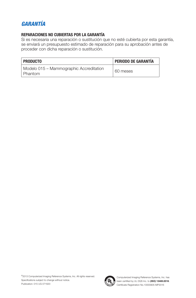# *GARANTÍA*

#### **REPARACIONES NO CUBIERTAS POR LA GARANTÍA**

Si es necesaria una reparación o sustitución que no esté cubierta por esta garantía, se enviará un presupuesto estimado de reparación para su aprobación antes de proceder con dicha reparación o sustitución.

| Producto                                             | <b>PERIODO DE GARANTÍA</b> |
|------------------------------------------------------|----------------------------|
| Modelo 015 - Mammographic Accreditation<br>l Phantom | 60 meses                   |

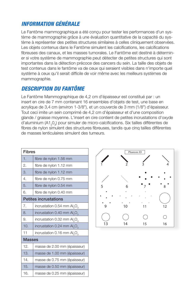# *INFORMATION GÉNÉRALE*

Le Fantôme mammographique a été conçu pour tester les performances d'un système de mammographie grâce à une évaluation quantitative de la capacité du système à représenter des petites structures similaires à celles cliniquement observées. Les objets contenus dans le Fantôme simulent les calcifications, les calcifications fibreuses des canaux, et les masses tumorales. Le Fantôme est destiné à déterminer si votre système de mammographie peut détecter de petites structures qui sont importantes dans la détection précoce des cancers du sein. La taille des objets de test contenus dans le fantôme va de ceux qui seraient visibles dans n'importe quel système à ceux qu'il serait difficile de voir même avec les meilleurs systèmes de mammographie.

# *DESCRIPTION DU FANTÔME*

Le Fantôme Mammographique de 4,2 cm d'épaisseur est constitué par : un insert en cire de 7 mm contenant 16 ensembles d'objets de test, une base en acrylique de 3,4 cm (environ 1-3/8"), et un couvercle de 3 mm (1/8") d'épaisseur. Tout ceci imite un sein comprimé de 4,2 cm d'épaisseur et d'une composition glande / graisse moyenne. L'insert en cire contient de petites incrustations d'oxyde d'aluminium (A1<sub>2</sub>0<sub>3</sub>) pour simuler de micro-calcifications. Six tailles différentes de fibres de nylon simulent des structures fibreuses, tandis que cinq tailles différentes de masses lenticulaires simulent des tumeurs.

| <b>Fibres</b>                |                                  |
|------------------------------|----------------------------------|
| 1.                           | fibre de nylon 1.56 mm           |
| 2.                           | fibre de nylon 1.12 mm           |
| 3.                           | fibre de nylon 1.12 mm           |
| 4.                           | fibre de nylon 0.75 mm           |
| 5.                           | fibre de nylon 0.54 mm           |
| 6.                           | fibre de nylon 0.40 mm           |
| <b>Petites incrustations</b> |                                  |
| 7.                           | incrustation 0.54 mm $Al_2O_3$   |
| 8.                           | incrustation 0.40 mm $Al_2O_3$   |
| 9.                           | incrustation 0.32 mm $Al_2O_3$   |
| 10.                          | incrustation 0.24 mm $Al_2O_3$   |
| 11                           | incrustation $0.16$ mm $Al_2O_3$ |
| <b>Masses</b>                |                                  |
| 12.                          | masse de 2.00 mm (épaisseur)     |
| 13.                          | masse de 1.00 mm (épaisseur)     |
| 14.                          | masse de 0.75 mm (épaisseur)     |
| 15.                          | masse de 0.50 mm (épaisseur)     |
| 16.                          | masse de 0.25 mm (épaisseur)     |

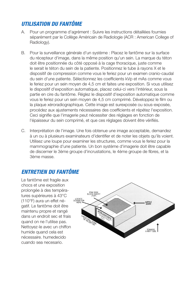# *UTILISATION DU FANTÔME*

- A. Pour un programme d'agrément : Suivre les instructions détaillées fournies séparément par le Collège Américain de Radiologie (ACR : American College of Radiology).
- B. Pour la surveillance générale d'un système : Placez le fantôme sur la surface du récepteur d'image, dans la même position qu'un sein. La marque du téton doit être positionnée du côté opposé à la cage thoracique, juste comme le serait le téton du sein de la patiente. Positionnez le tube à rayons X et le dispositif de compression comme vous le feriez pour un examen cranio-caudal du sein d'une patiente. Sélectionnez les coefficients kVp et mAs comme vous le feriez pour un sein moyen de 4,5 cm et faites une exposition. Si vous utilisez le dispositif d'exposition automatique, placez celui-ci vers l'intérieur, sous la partie en cire du fantôme. Réglez le dispositif d'exposition automatique comme vous le feriez pour un sein moyen de 4,5 cm comprimé. Développez le film ou la plaque xéroradiographique. Cette image est surexposée ou sous-exposée, procédez aux ajustements nécessaires des coefficients et répétez l'exposition. Ceci signifie que l'imagerie peut nécessiter des réglages en fonction de l'épaisseur du sein comprimé, et que ces réglages doivent être vérifiés.
- C. Interprétation de l'image. Une fois obtenue une image acceptable, demandez à un ou à plusieurs examinateurs d'identifier et de noter les objets qu'ils voient. Utilisez une loupe pour examiner les structures, comme vous le feriez pour la mammographie d'une patiente. Un bon système d'imagerie doit être capable de discerner le 3ème groupe d'incrustations, le 4ème groupe de fibres, et la 3ème masse.

# *ENTRETIEN DU FANTÔME*

Le fantôme est fragile aux chocs et une exposition prolongée à des températures supérieures à 43°C (110°F) aura un effet négatif. Le fantôme doit être maintenu propre et rangé dans un endroit sec et frais quand on ne l'utilise pas. Nettoyez-le avec un chiffon humide quand cela est nécessaire. humedecido cuando sea necesario.

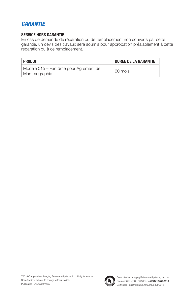# *GARANTIE*

#### **SERVICE HORS GARANTIE**

En cas de demande de réparation ou de remplacement non couverts par cette garantie, un devis des travaux sera soumis pour approbation préalablement à cette réparation ou à ce remplacement.

| <b>PRODUIT</b>                                        | <b>DURÉE DE LA GARANTIE</b> |
|-------------------------------------------------------|-----------------------------|
| Modèle 015 - Fantôme pour Agrément de<br>Mammographie | 60 mois                     |

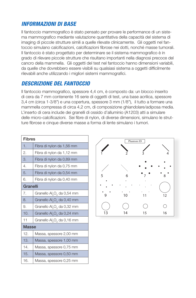# *INFORMAZIONI DI BASE*

Il fantoccio mammografico è stato pensato per provare le performance di un sistema mammografico mediante valutazione quantitativa della capacità del sistema di imaging di piccole strutture simili a quelle rilevate clinicamente. Gli oggetti nel fantoccio simulano calcificazioni, calcificazioni fibrose nei dotti, nonché masse tumorali. Il fantoccio è stato progettato per determinare se il sistema mammografico è in grado di rilevare piccole strutture che risultano importanti nella diagnosi precoce del cancro della mammella. Gli oggetti del test nel fantoccio hanno dimensioni variabili, da quelle che dovrebbero essere visibili su qualsiasi sistema a oggetti difficilmente rilevabili anche utilizzando i migliori sistemi mammografici.

### *DESCRIZIONE DEL FANTOCCIO*

Il fantoccio mammografico, spessore 4,4 cm, è composto da: un blocco inserito di cera da 7 mm contenente 16 serie di oggetti di test, una base acrilica, spessore 3,4 cm (circa 1-3/8") e una copertura, spessore 3 mm (1/8"), il tutto a formare una mammella compressa di circa 4,2 cm, di composizione ghiandolare/adiposa media. L'inserto di cera include dei granelli di ossido d'alluminio (A1203) atti a simulare delle micro-calcificazioni. Sei fibre di nylon, di diverse dimensioni, simulano le strutture fibrose e cinque diverse masse a forma di lente simulano i tumori.

| <b>Fibres</b> |                                                    |
|---------------|----------------------------------------------------|
| 1.            | Fibra di nylon da 1,56 mm                          |
| 2.            | Fibra di nylon da 1,12 mm                          |
| 3.            | Fibra di nylon da 0,89 mm                          |
| 4.            | Fibra di nylon da 0,75 mm                          |
| 5.            | Fibra di nylon da 0,54 mm                          |
| 6.            | Fibra di nylon da 0,40 mm                          |
| Granelli      |                                                    |
| 7.            | Granello Al <sub>2</sub> O <sub>3</sub> da 0,54 mm |
| 8.            | Granello Al <sub>2</sub> O <sub>3</sub> da 0,40 mm |
| 9.            | Granello Al <sub>2</sub> O <sub>3</sub> da 0,32 mm |
| 10.           | Granello Al <sub>2</sub> O <sub>3</sub> da 0,24 mm |
| 11            | Granello Al <sub>2</sub> O <sub>3</sub> da 0,16 mm |
| <b>Masse</b>  |                                                    |
| 12.           | Massa, spessore 2,00 mm                            |
| 13.           | Massa, spessore 1,00 mm                            |
| 14.           | Massa, spessore 0,75 mm                            |
| 15.           | Massa, spessore 0,50 mm                            |
| 16.           | Massa, spessore 0,25 mm                            |

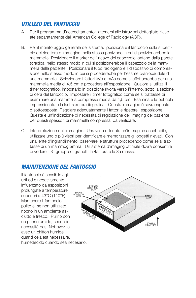# *UTILIZZO DEL FANTOCCIO*

- A. Per il programma d'accreditamento: attenersi alle istruzioni dettagliate rilasci ate separatamente dall'American College of Radiology (ACR).
- B. Per il monitoraggio generale del sistema: posizionare il fantoccio sulla superficie del ricettore d'immagine, nella stessa posizione in cui si posizionerebbe la mammella. Posizionare il marker dell'incavo del capezzolo lontano dalla parete toracica, nello stesso modo in cui si posizionerebbe il capezzolo della mammella della paziente. Posizionare il tubo radiogeno e il dispositivo di compressione nello stesso modo in cui si procederebbe per l'esame craniocaudale di una mammella. Selezionare i fattori kVp e mAs come si effettuerebbe per una mammella media di 4,5 cm e procedere all'esposizione. Qualora si utilizzi il timer fotografico, impostarlo in posizione rivolta verso l'interno, sotto la sezione di cera del fantoccio. Impostare il timer fotografico come se si trattasse di esaminare una mammella compressa media da 4,5 cm. Esaminare la pellicola impressionata o la lastra xeroradiografica. Questa immagine è sovraesposta o sottoesposta. Regolare adeguatamente i fattori e ripetere l'esposizione. Questa è un'indicazione di necessità di regolazione dell'imaging del paziente per questi spessori di mammella compressa, da verificare.
- C. Interpretazione dell'immagine. Una volta ottenuta un'immagine accettabile, utilizzare uno o più visori per identificare e memorizzare gli oggetti rilevati. Con una lente d'ingrandimento, osservare le strutture procedendo come se si trattasse di un mammogramma. Un sistema d'imaging ottimale dovrà consentire di vedere il 3° gruppo di granelli, la 4a fibra e la 3a massa.

# *MANUTENZIONE DEL FANTOCCIO*

Il fantoccio è sensibile agli urti ed è negativamente influenzato da esposizioni prolungate a temperature superiori a 43°C (110°F). Mantenere il fantoccio pulito e, se non utilizzato, riporlo in un ambiente asciutto e fresco. Pulirlo con un panno umido, secondo necessità.pas. Nettoyez-le avec un chiffon humide quand cela est nécessaire. humedecido cuando sea necesario.